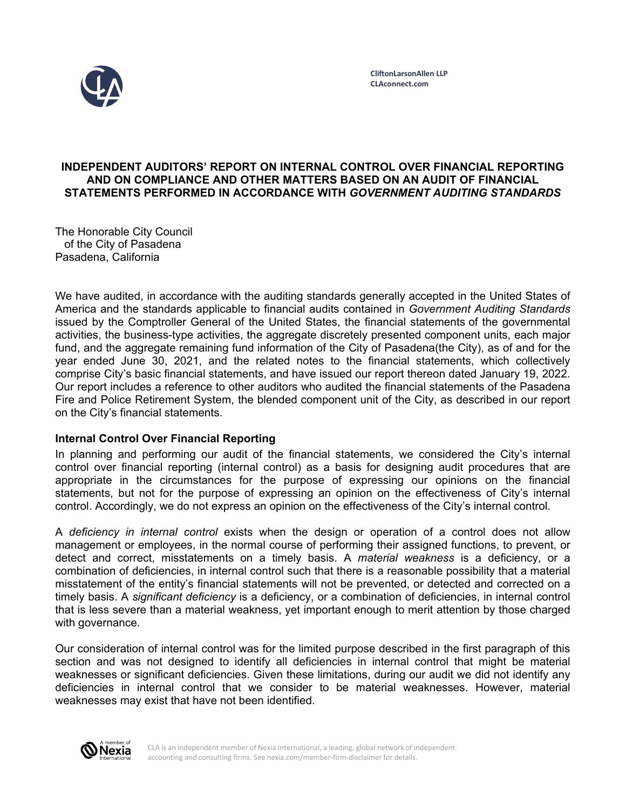

## **INDEPENDENT AUDITORS' REPORT ON INTERNAL CONTROL OVER FINANCIAL REPORTING AND ON COMPLIANCE AND OTHER MATTERS BASED ON AN AUDIT OF FINANCIAL STATEMENTS PERFORMED IN ACCORDANCE WITH** *GOVERNMENT AUDITING STANDARDS*

The Honorable City Council of the City of Pasadena Pasadena, California

We have audited, in accordance with the auditing standards generally accepted in the United States of America and the standards applicable to financial audits contained in *Government Auditing Standards*  issued by the Comptroller General of the United States, the financial statements of the governmental activities, the business-type activities, the aggregate discretely presented component units, each major fund, and the aggregate remaining fund information of the City of Pasadena(the City), as of and for the year ended June 30, 2021, and the related notes to the financial statements, which collectively comprise City's basic financial statements, and have issued our report thereon dated January 19, 2022. Our report includes a reference to other auditors who audited the financial statements of the Pasadena Fire and Police Retirement System, the blended component unit of the City, as described in our report on the City's financial statements.

## **Internal Control Over Financial Reporting**

In planning and performing our audit of the financial statements, we considered the City's internal control over financial reporting (internal control) as a basis for designing audit procedures that are appropriate in the circumstances for the purpose of expressing our opinions on the financial statements, but not for the purpose of expressing an opinion on the effectiveness of City's internal control. Accordingly, we do not express an opinion on the effectiveness of the City's internal control.

A *deficiency in internal control* exists when the design or operation of a control does not allow management or employees, in the normal course of performing their assigned functions, to prevent, or detect and correct, misstatements on a timely basis. A *material weakness* is a deficiency, or a combination of deficiencies, in internal control such that there is a reasonable possibility that a material misstatement of the entity's financial statements will not be prevented, or detected and corrected on a timely basis. A *significant deficiency* is a deficiency, or a combination of deficiencies, in internal control that is less severe than a material weakness, yet important enough to merit attention by those charged with governance.

Our consideration of internal control was for the limited purpose described in the first paragraph of this section and was not designed to identify all deficiencies in internal control that might be material weaknesses or significant deficiencies. Given these limitations, during our audit we did not identify any deficiencies in internal control that we consider to be material weaknesses. However, material weaknesses may exist that have not been identified.